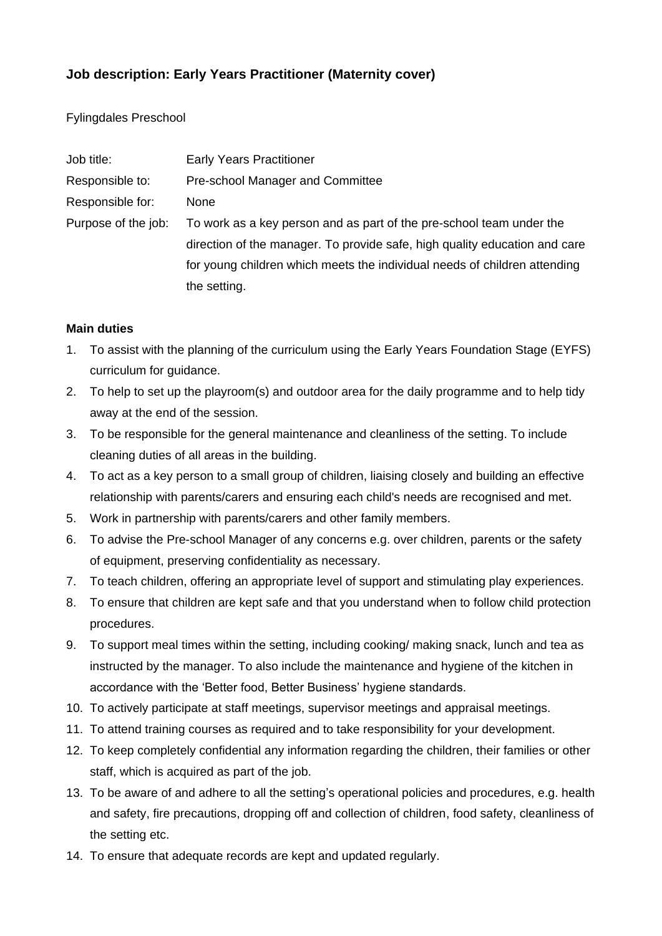# **Job description: Early Years Practitioner (Maternity cover)**

Fylingdales Preschool

| Job title:          | <b>Early Years Practitioner</b>                                            |
|---------------------|----------------------------------------------------------------------------|
| Responsible to:     | Pre-school Manager and Committee                                           |
| Responsible for:    | <b>None</b>                                                                |
| Purpose of the job: | To work as a key person and as part of the pre-school team under the       |
|                     | direction of the manager. To provide safe, high quality education and care |
|                     | for young children which meets the individual needs of children attending  |
|                     | the setting.                                                               |

## **Main duties**

- 1. To assist with the planning of the curriculum using the Early Years Foundation Stage (EYFS) curriculum for guidance.
- 2. To help to set up the playroom(s) and outdoor area for the daily programme and to help tidy away at the end of the session.
- 3. To be responsible for the general maintenance and cleanliness of the setting. To include cleaning duties of all areas in the building.
- 4. To act as a key person to a small group of children, liaising closely and building an effective relationship with parents/carers and ensuring each child's needs are recognised and met.
- 5. Work in partnership with parents/carers and other family members.
- 6. To advise the Pre-school Manager of any concerns e.g. over children, parents or the safety of equipment, preserving confidentiality as necessary.
- 7. To teach children, offering an appropriate level of support and stimulating play experiences.
- 8. To ensure that children are kept safe and that you understand when to follow child protection procedures.
- 9. To support meal times within the setting, including cooking/ making snack, lunch and tea as instructed by the manager. To also include the maintenance and hygiene of the kitchen in accordance with the 'Better food, Better Business' hygiene standards.
- 10. To actively participate at staff meetings, supervisor meetings and appraisal meetings.
- 11. To attend training courses as required and to take responsibility for your development.
- 12. To keep completely confidential any information regarding the children, their families or other staff, which is acquired as part of the job.
- 13. To be aware of and adhere to all the setting's operational policies and procedures, e.g. health and safety, fire precautions, dropping off and collection of children, food safety, cleanliness of the setting etc.
- 14. To ensure that adequate records are kept and updated regularly.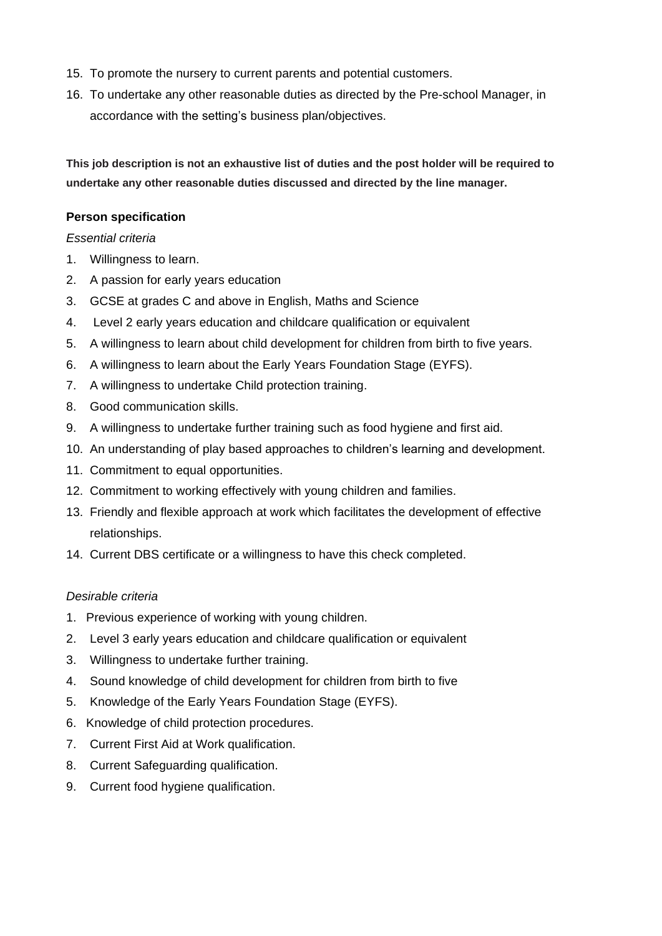- 15. To promote the nursery to current parents and potential customers.
- 16. To undertake any other reasonable duties as directed by the Pre-school Manager, in accordance with the setting's business plan/objectives.

**This job description is not an exhaustive list of duties and the post holder will be required to undertake any other reasonable duties discussed and directed by the line manager.**

#### **Person specification**

## *Essential criteria*

- 1. Willingness to learn.
- 2. A passion for early years education
- 3. GCSE at grades C and above in English, Maths and Science
- 4. Level 2 early years education and childcare qualification or equivalent
- 5. A willingness to learn about child development for children from birth to five years.
- 6. A willingness to learn about the Early Years Foundation Stage (EYFS).
- 7. A willingness to undertake Child protection training.
- 8. Good communication skills.
- 9. A willingness to undertake further training such as food hygiene and first aid.
- 10. An understanding of play based approaches to children's learning and development.
- 11. Commitment to equal opportunities.
- 12. Commitment to working effectively with young children and families.
- 13. Friendly and flexible approach at work which facilitates the development of effective relationships.
- 14. Current DBS certificate or a willingness to have this check completed.

#### *Desirable criteria*

- 1. Previous experience of working with young children.
- 2. Level 3 early years education and childcare qualification or equivalent
- 3. Willingness to undertake further training.
- 4. Sound knowledge of child development for children from birth to five
- 5. Knowledge of the Early Years Foundation Stage (EYFS).
- 6. Knowledge of child protection procedures.
- 7. Current First Aid at Work qualification.
- 8. Current Safeguarding qualification.
- 9. Current food hygiene qualification.